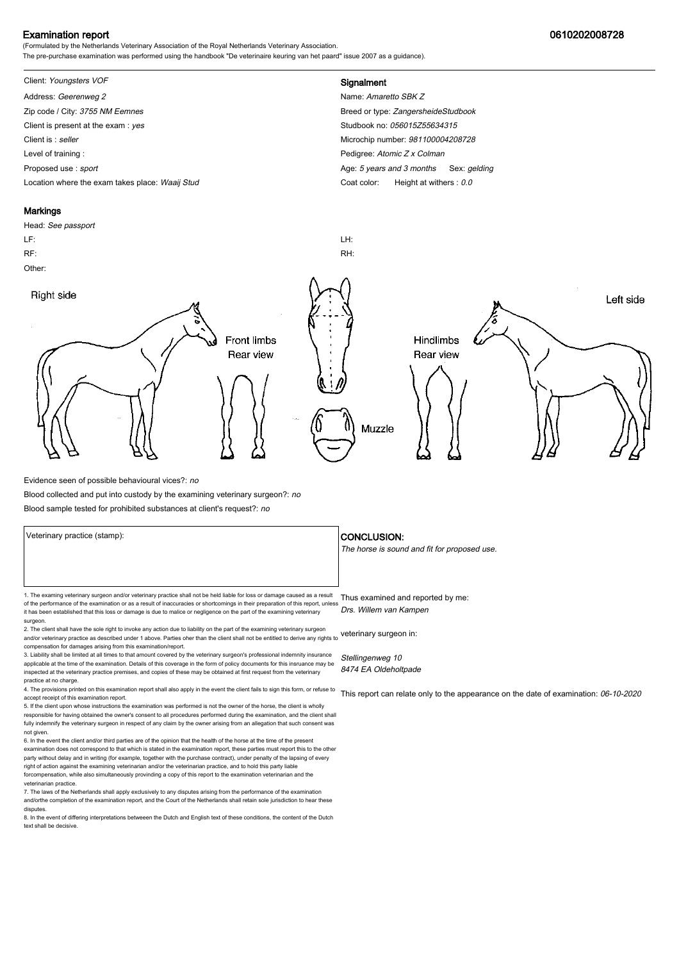### Examination report 0610202008728

(Formulated by the Netherlands Veterinary Association of the Royal Netherlands Veterinary Association. The pre-purchase examination was performed using the handbook "De veterinaire keuring van het paard" issue 2007 as a guidance).

# Client: Youngsters VOF **Signalment**

Address: Geerenweg 2 Name: Amaretto SBK Z Zip code / City: 3755 NM Eemnes Breed or type: ZangersheideStudbook Client is present at the exam : yes Studbook no: 056015Z55634315 Client is : seller Microchip number: 981100004208728 Level of training : **Pedigree:** Atomic Z x Colman Collection 2 x Colman Collection 2 x Colman Collection 2 x Colman Proposed use : sport **Age:** 5 years and 3 months Sex: gelding Location where the exam takes place: Waaij Stud Coat Color: Height at withers : 0.0

#### **Markings**

Head: See passport LF: LH: RF: RH: Other: Right side Left side **Front limbs** Hindlimbs Rear view Rear view Muzzle

Evidence seen of possible behavioural vices?: no

Blood collected and put into custody by the examining veterinary surgeon?: no

Blood sample tested for prohibited substances at client's request?: no

1. The examing veterinary surgeon and/or veterinary practice shall not be held liable for loss or damage caused as a result Thus examined and reported by me: of the performance of the examination or as a result of inaccuracies or shortcomings in their preparation of this report, unless it has been established that this loss or damage is due to malice or negligence on the part of the examining veterinary surgeon. Drs. Willem van Kampen

2. The client shall have the sole right to invoke any action due to liability on the part of the examining veterinary surgeon and/or veterinary practice as described under 1 above. Parties oher than the client shall not be entitled to derive any rights to veterinary surgeon in: compensation for damages arising from this examination/report.

3. Liability shall be limited at all times to that amount covered by the veterinary surgeon's professional indemnity insurance applicable at the time of the examination. Details of this coverage in the form of policy documents for this insruance may be inspected at the veterinary practice premises, and copies of these may be obtained at first request from the veterinary practice at no charge.

4. The provisions printed on this examination report shall also apply in the event the client fails to sign this form, or refuse to accept receipt of this examination report.

5. If the client upon whose instructions the examination was performed is not the owner of the horse, the client is wholly responsible for having obtained the owner's consent to all procedures performed during the examination, and the client shall fully indemnify the veterinary surgeon in respect of any claim by the owner arising from an allegation that such consent was not given.

6. In the event the client and/or third parties are of the opinion that the health of the horse at the time of the present examination does not correspond to that which is stated in the examination report, these parties must report this to the other party without delay and in writing (for example, together with the purchase contract), under penalty of the lapsing of every<br>right of action against the examining veterinarian and/or the veterinarian practice, and to hold forcompensation, while also simultaneously provinding a copy of this report to the examination veterinarian and th veterinarian practice.

7. The laws of the Netherlands shall apply exclusively to any disputes arising from the performance of the examination and/orthe completion of the examination report, and the Court of the Netherlands shall retain sole jurisdiction to hear these disputes.

8. In the event of differing interpretations betweeen the Dutch and English text of these conditions, the content of the Dutch text shall be decisive.

#### Veterinary practice (stamp):  $\overline{\phantom{a}}$  CONCLUSION:

The horse is sound and fit for proposed use.

Stellingenweg 10 8474 EA Oldeholtpade

This report can relate only to the appearance on the date of examination: 06-10-2020